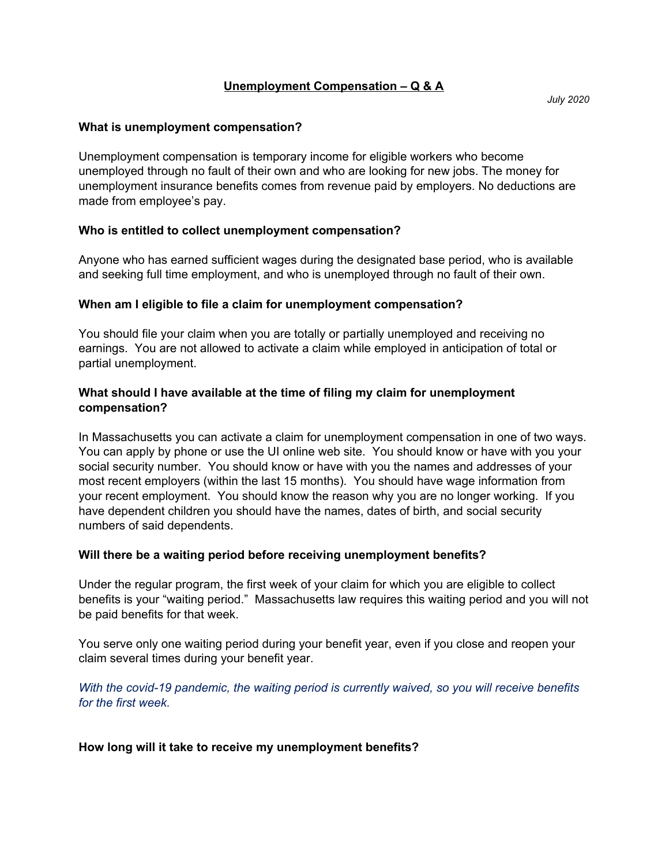# **Unemployment Compensation – Q & A**

## **What is unemployment compensation?**

Unemployment compensation is temporary income for eligible workers who become unemployed through no fault of their own and who are looking for new jobs. The money for unemployment insurance benefits comes from revenue paid by employers. No deductions are made from employee's pay.

## **Who is entitled to collect unemployment compensation?**

Anyone who has earned sufficient wages during the designated base period, who is available and seeking full time employment, and who is unemployed through no fault of their own.

## **When am I eligible to file a claim for unemployment compensation?**

You should file your claim when you are totally or partially unemployed and receiving no earnings. You are not allowed to activate a claim while employed in anticipation of total or partial unemployment.

## **What should I have available at the time of filing my claim for unemployment compensation?**

In Massachusetts you can activate a claim for unemployment compensation in one of two ways. You can apply by phone or use the UI online web site. You should know or have with you your social security number. You should know or have with you the names and addresses of your most recent employers (within the last 15 months). You should have wage information from your recent employment. You should know the reason why you are no longer working. If you have dependent children you should have the names, dates of birth, and social security numbers of said dependents.

#### **Will there be a waiting period before receiving unemployment benefits?**

Under the regular program, the first week of your claim for which you are eligible to collect benefits is your "waiting period." Massachusetts law requires this waiting period and you will not be paid benefits for that week.

You serve only one waiting period during your benefit year, even if you close and reopen your claim several times during your benefit year.

*With the covid-19 pandemic, the waiting period is currently waived, so you will receive benefits for the first week.*

#### **How long will it take to receive my unemployment benefits?**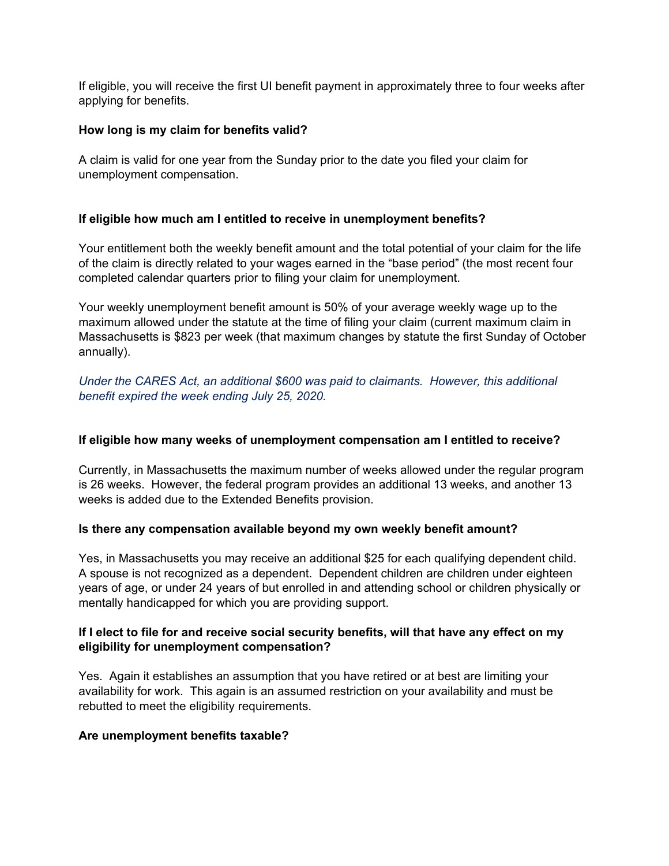If eligible, you will receive the first UI benefit payment in approximately three to four weeks after applying for benefits.

## **How long is my claim for benefits valid?**

A claim is valid for one year from the Sunday prior to the date you filed your claim for unemployment compensation.

## **If eligible how much am I entitled to receive in unemployment benefits?**

Your entitlement both the weekly benefit amount and the total potential of your claim for the life of the claim is directly related to your wages earned in the "base period" (the most recent four completed calendar quarters prior to filing your claim for unemployment.

Your weekly unemployment benefit amount is 50% of your average weekly wage up to the maximum allowed under the statute at the time of filing your claim (current maximum claim in Massachusetts is \$823 per week (that maximum changes by statute the first Sunday of October annually).

*Under the CARES Act, an additional \$600 was paid to claimants. However, this additional benefit expired the week ending July 25, 2020.*

#### **If eligible how many weeks of unemployment compensation am I entitled to receive?**

Currently, in Massachusetts the maximum number of weeks allowed under the regular program is 26 weeks. However, the federal program provides an additional 13 weeks, and another 13 weeks is added due to the Extended Benefits provision.

#### **Is there any compensation available beyond my own weekly benefit amount?**

Yes, in Massachusetts you may receive an additional \$25 for each qualifying dependent child. A spouse is not recognized as a dependent. Dependent children are children under eighteen years of age, or under 24 years of but enrolled in and attending school or children physically or mentally handicapped for which you are providing support.

## **If I elect to file for and receive social security benefits, will that have any effect on my eligibility for unemployment compensation?**

Yes. Again it establishes an assumption that you have retired or at best are limiting your availability for work. This again is an assumed restriction on your availability and must be rebutted to meet the eligibility requirements.

#### **Are unemployment benefits taxable?**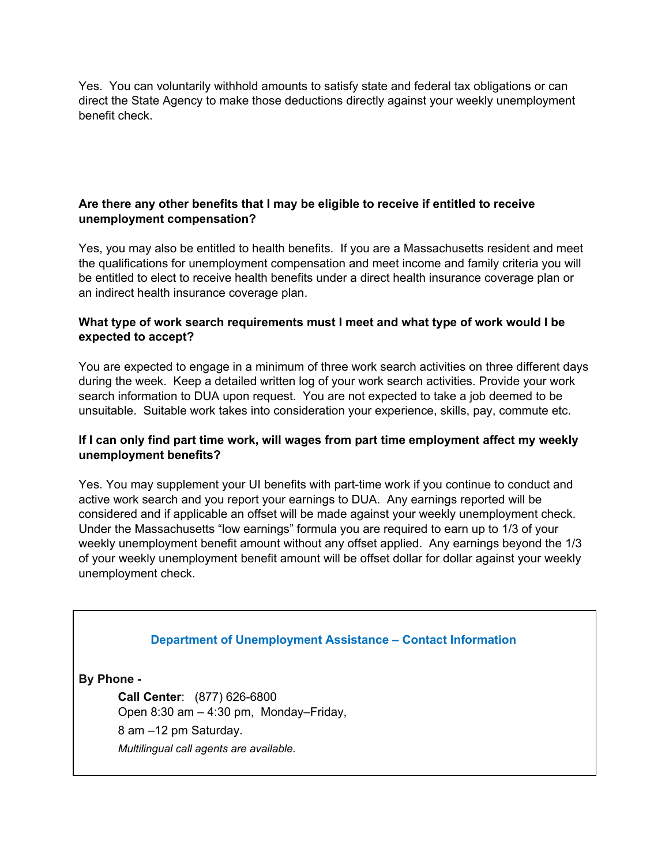Yes. You can voluntarily withhold amounts to satisfy state and federal tax obligations or can direct the State Agency to make those deductions directly against your weekly unemployment benefit check.

# **Are there any other benefits that I may be eligible to receive if entitled to receive unemployment compensation?**

Yes, you may also be entitled to health benefits. If you are a Massachusetts resident and meet the qualifications for unemployment compensation and meet income and family criteria you will be entitled to elect to receive health benefits under a direct health insurance coverage plan or an indirect health insurance coverage plan.

## **What type of work search requirements must I meet and what type of work would I be expected to accept?**

You are expected to engage in a minimum of three work search activities on three different days during the week. Keep a detailed written log of your work search activities. Provide your work search information to DUA upon request. You are not expected to take a job deemed to be unsuitable. Suitable work takes into consideration your experience, skills, pay, commute etc.

## **If I can only find part time work, will wages from part time employment affect my weekly unemployment benefits?**

Yes. You may supplement your UI benefits with part-time work if you continue to conduct and active work search and you report your earnings to DUA. Any earnings reported will be considered and if applicable an offset will be made against your weekly unemployment check. Under the Massachusetts "low earnings" formula you are required to earn up to 1/3 of your weekly unemployment benefit amount without any offset applied. Any earnings beyond the 1/3 of your weekly unemployment benefit amount will be offset dollar for dollar against your weekly unemployment check.

# **Department of Unemployment Assistance – Contact Information**

**By Phone -**

**Call Center**: (877) 626-6800 Open 8:30 am – 4:30 pm, Monday–Friday, 8 am –12 pm Saturday. *Multilingual call agents are available.*